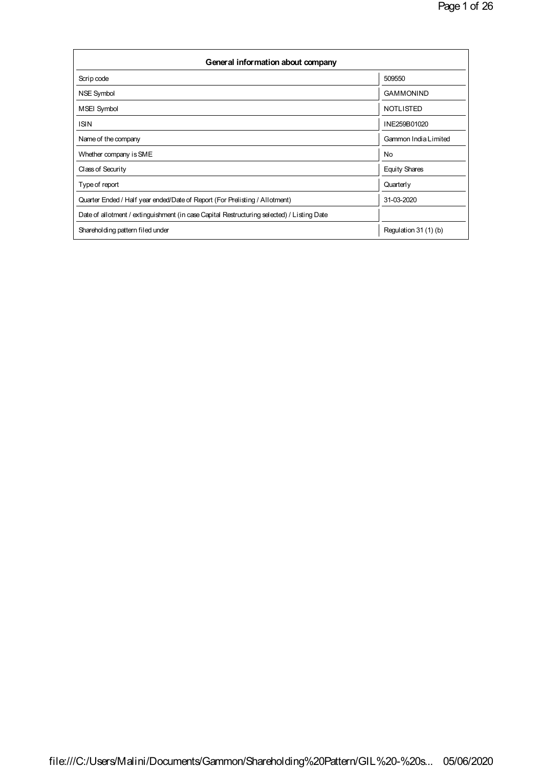| General information about company                                                          |                       |  |  |  |  |  |  |
|--------------------------------------------------------------------------------------------|-----------------------|--|--|--|--|--|--|
| Scrip code                                                                                 | 509550                |  |  |  |  |  |  |
| NSE Symbol                                                                                 | <b>GAMMONIND</b>      |  |  |  |  |  |  |
| <b>MSEI Symbol</b>                                                                         | <b>NOTLISTED</b>      |  |  |  |  |  |  |
| <b>ISIN</b>                                                                                | INE259B01020          |  |  |  |  |  |  |
| Name of the company                                                                        | Gammon India Limited  |  |  |  |  |  |  |
| Whether company is SME                                                                     | No.                   |  |  |  |  |  |  |
| Class of Security                                                                          | <b>Equity Shares</b>  |  |  |  |  |  |  |
| Type of report                                                                             | Quarterly             |  |  |  |  |  |  |
| Quarter Ended / Half year ended/Date of Report (For Prelisting / Allotment)                | 31-03-2020            |  |  |  |  |  |  |
| Date of allotment / extinguishment (in case Capital Restructuring selected) / Listing Date |                       |  |  |  |  |  |  |
| Shareholding pattern filed under                                                           | Regulation 31 (1) (b) |  |  |  |  |  |  |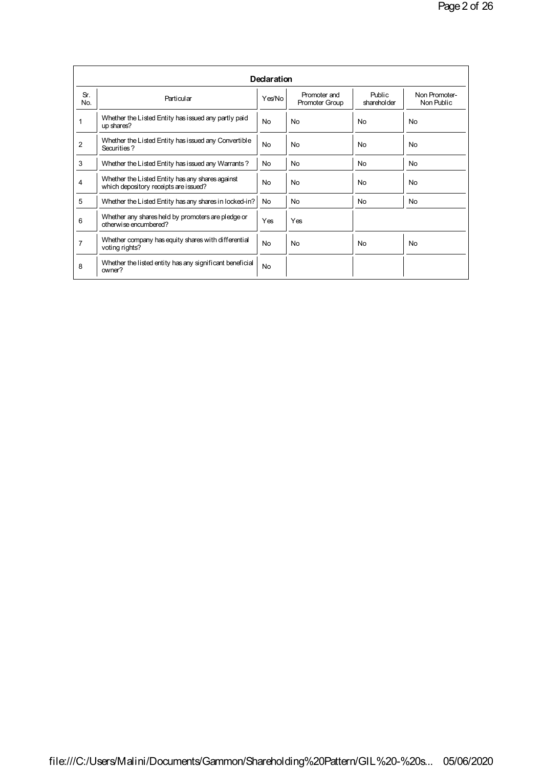|                |                                                                                           | Declaration    |                                |                       |                             |
|----------------|-------------------------------------------------------------------------------------------|----------------|--------------------------------|-----------------------|-----------------------------|
| Sr.<br>No.     | Particular                                                                                | Yes/No         | Promoter and<br>Promoter Group | Public<br>shareholder | Non Promoter-<br>Non Public |
|                | Whether the Listed Entity has issued any partly paid<br>up shares?                        | <b>No</b>      | <b>No</b>                      | <b>No</b>             | N <sub>0</sub>              |
| $\overline{2}$ | Whether the Listed Entity has issued any Convertible<br>Securities?                       | <b>No</b>      | <b>No</b>                      | <b>No</b>             | N <sub>0</sub>              |
| 3              | Whether the Listed Entity has issued any Warrants?                                        | No.            | No                             | No                    | No                          |
| 4              | Whether the Listed Entity has any shares against<br>which depository receipts are issued? | N <sub>o</sub> | No                             | No                    | No                          |
| 5              | Whether the Listed Entity has any shares in locked-in?                                    | No.            | <b>No</b>                      | N <sub>0</sub>        | No                          |
| 6              | Whether any shares held by promoters are pledge or<br>otherwise encumbered?               | Yes            | Yes                            |                       |                             |
| $\overline{7}$ | Whether company has equity shares with differential<br>voting rights?                     | <b>No</b>      | <b>No</b>                      | <b>No</b>             | <b>No</b>                   |
| 8              | Whether the listed entity has any significant beneficial<br>owner?                        | <b>No</b>      |                                |                       |                             |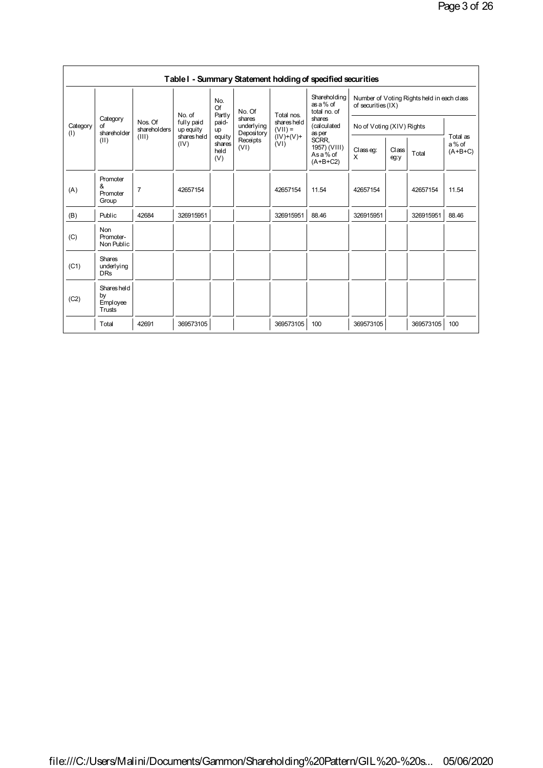|                 |                                           |                                                              |                     |                                 |                          |                                                               | Table I - Summary Statement holding of specified securities                                                                      |                                                                  |                        |                                |       |
|-----------------|-------------------------------------------|--------------------------------------------------------------|---------------------|---------------------------------|--------------------------|---------------------------------------------------------------|----------------------------------------------------------------------------------------------------------------------------------|------------------------------------------------------------------|------------------------|--------------------------------|-------|
|                 | Category<br>of<br>shareholder             | No. of<br>Nos. Of<br>fully paid<br>shareholders<br>up equity |                     | No.<br>Of<br>Partly             | No. Of<br>shares         | Total nos.<br>shares held<br>$(VII) =$<br>$(IV)+(V)+$<br>(VI) | Shareholding<br>as a % of<br>total no. of<br>shares<br>(calculated<br>as per<br>SCRR.<br>1957) (VIII)<br>As a % of<br>$(A+B+C2)$ | Number of Voting Rights held in each class<br>of securities (IX) |                        |                                |       |
| Category<br>(1) |                                           |                                                              |                     | paid-<br>up                     | underlying<br>Depository |                                                               |                                                                                                                                  | No of Voting (XIV) Rights                                        |                        |                                |       |
|                 | (II)                                      | (III)                                                        | shares held<br>(IV) | equity<br>shares<br>held<br>(V) | Receipts<br>(VI)         |                                                               |                                                                                                                                  | Classeq:<br>X                                                    | Class<br>Total<br>eg:y | Total as<br>a% of<br>$(A+B+C)$ |       |
| (A)             | Promoter<br>&<br>Promoter<br>Group        | $\overline{7}$                                               | 42657154            |                                 |                          | 42657154                                                      | 11.54                                                                                                                            | 42657154                                                         |                        | 42657154                       | 11.54 |
| (B)             | Public                                    | 42684                                                        | 326915951           |                                 |                          | 326915951                                                     | 88.46                                                                                                                            | 326915951                                                        |                        | 326915951                      | 88.46 |
| (C)             | Non<br>Promoter-<br>Non Public            |                                                              |                     |                                 |                          |                                                               |                                                                                                                                  |                                                                  |                        |                                |       |
| (C1)            | <b>Shares</b><br>underlying<br><b>DRs</b> |                                                              |                     |                                 |                          |                                                               |                                                                                                                                  |                                                                  |                        |                                |       |
| (C2)            | Shares held<br>by<br>Employee<br>Trusts   |                                                              |                     |                                 |                          |                                                               |                                                                                                                                  |                                                                  |                        |                                |       |
|                 | Total                                     | 42691                                                        | 369573105           |                                 |                          | 369573105                                                     | 100                                                                                                                              | 369573105                                                        |                        | 369573105                      | 100   |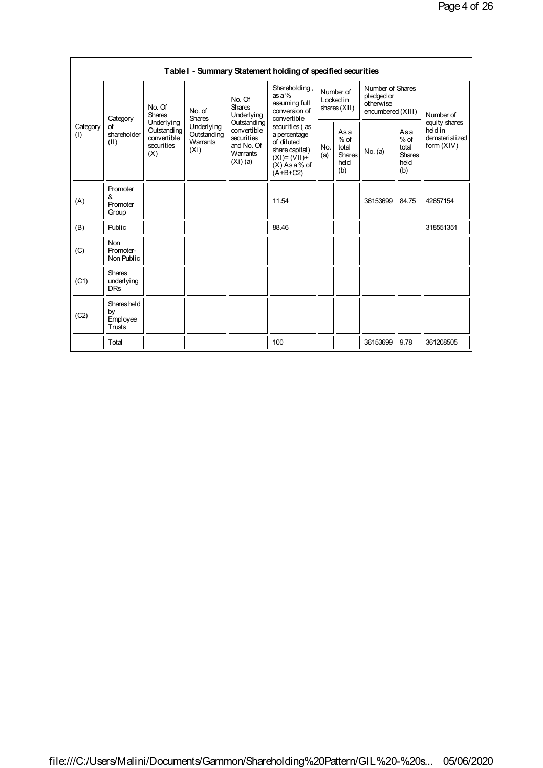|                 |                                           |                                                                                                                                                                                   |                                                                                  |                                                                                                                     | Table I - Summary Statement holding of specified securities                 |                                                 |         |                                                                  |                                         |                            |  |
|-----------------|-------------------------------------------|-----------------------------------------------------------------------------------------------------------------------------------------------------------------------------------|----------------------------------------------------------------------------------|---------------------------------------------------------------------------------------------------------------------|-----------------------------------------------------------------------------|-------------------------------------------------|---------|------------------------------------------------------------------|-----------------------------------------|----------------------------|--|
| Category<br>(1) | Category<br>οf<br>shareholder<br>(II)     | No. Of<br>No. of<br><b>Shares</b><br><b>Shares</b><br>Underlying<br>Underlying<br>Outstanding<br>Outstanding<br>convertible<br>Warrants<br>securities<br>(X <sub>i</sub> )<br>(X) |                                                                                  | No. Of<br><b>Shares</b><br>Underlying                                                                               | Shareholding,<br>$as a \%$<br>assuming full<br>conversion of<br>convertible | Number of<br>Locked in<br>shares $(XII)$        |         | Number of Shares<br>pledged or<br>otherwise<br>encumbered (XIII) |                                         | Number of<br>equity shares |  |
|                 |                                           |                                                                                                                                                                                   | Outstanding<br>convertible<br>securities<br>and No. Of<br>Warrants<br>$(Xi)$ (a) | securities (as<br>a percentage<br>of diluted<br>share capital)<br>$(XI) = (VII) +$<br>$(X)$ As a % of<br>$(A+B+C2)$ | No.<br>(a)                                                                  | Asa<br>$%$ of<br>total<br>Shares<br>held<br>(b) | No. (a) | Asa<br>$%$ of<br>total<br><b>Shares</b><br>held<br>(b)           | held in<br>dematerialized<br>form (XIV) |                            |  |
| (A)             | Promoter<br>&<br>Promoter<br>Group        |                                                                                                                                                                                   |                                                                                  |                                                                                                                     | 11.54                                                                       |                                                 |         | 36153699                                                         | 84.75                                   | 42657154                   |  |
| (B)             | Public                                    |                                                                                                                                                                                   |                                                                                  |                                                                                                                     | 88.46                                                                       |                                                 |         |                                                                  |                                         | 318551351                  |  |
| (C)             | <b>Non</b><br>Promoter-<br>Non Public     |                                                                                                                                                                                   |                                                                                  |                                                                                                                     |                                                                             |                                                 |         |                                                                  |                                         |                            |  |
| (C1)            | <b>Shares</b><br>underlying<br><b>DRs</b> |                                                                                                                                                                                   |                                                                                  |                                                                                                                     |                                                                             |                                                 |         |                                                                  |                                         |                            |  |
| (C2)            | Shares held<br>by<br>Employee<br>Trusts   |                                                                                                                                                                                   |                                                                                  |                                                                                                                     |                                                                             |                                                 |         |                                                                  |                                         |                            |  |
|                 | Total                                     |                                                                                                                                                                                   |                                                                                  |                                                                                                                     | 100                                                                         |                                                 |         | 36153699                                                         | 9.78                                    | 361208505                  |  |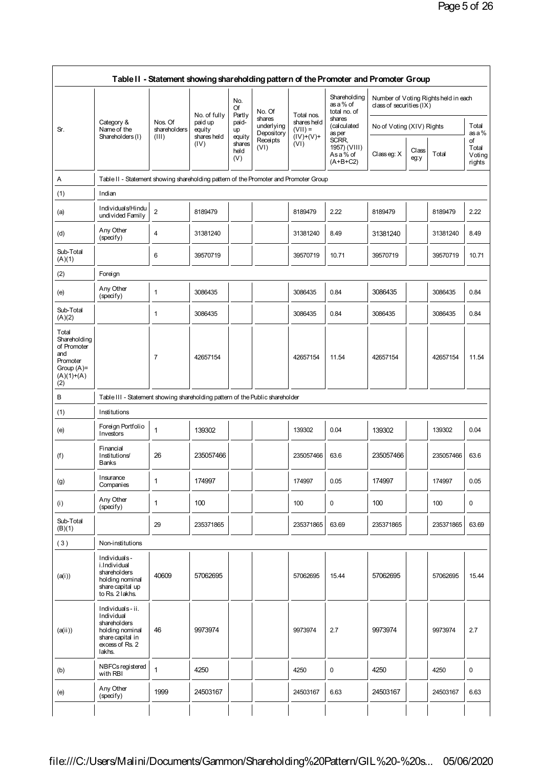|                                                                                                 |                                                                                                                   |                                   |                                                          |                                 |                                    |                                        | Table II - Statement showing shareholding pattern of the Promoter and Promoter Group |                            |               |                                      |                                 |
|-------------------------------------------------------------------------------------------------|-------------------------------------------------------------------------------------------------------------------|-----------------------------------|----------------------------------------------------------|---------------------------------|------------------------------------|----------------------------------------|--------------------------------------------------------------------------------------|----------------------------|---------------|--------------------------------------|---------------------------------|
|                                                                                                 |                                                                                                                   |                                   |                                                          | No.<br>Of                       | No. Of                             |                                        | Shareholding<br>as a % of<br>total no. of                                            | class of securities $(IX)$ |               | Number of Voting Rights held in each |                                 |
| Sr.                                                                                             | Category &<br>Name of the<br>Shareholders (I)                                                                     | Nos. Of<br>sharehol ders<br>(III) | No. of fully<br>paid up<br>equity<br>shares held<br>(IV) | Partly<br>paid-<br>up           | shares<br>underlying<br>Depository | Total nos.<br>shares held<br>$(VII) =$ | shares<br>(calculated<br>as per                                                      | No of Voting (XIV) Rights  |               |                                      | Total<br>as a %                 |
|                                                                                                 |                                                                                                                   |                                   |                                                          | equity<br>shares<br>held<br>(V) | Receipts<br>(VI)                   | $(IV)+(V)+$<br>(VI)                    | SCRR,<br>1957) (VIII)<br>Asa% of<br>$(A+B+C2)$                                       | Classeg: X                 | Class<br>eg:y | Total                                | οf<br>Total<br>Voting<br>rights |
| Α                                                                                               | Table II - Statement showing shareholding pattern of the Promoter and Promoter Group                              |                                   |                                                          |                                 |                                    |                                        |                                                                                      |                            |               |                                      |                                 |
| (1)                                                                                             | Indian                                                                                                            |                                   |                                                          |                                 |                                    |                                        |                                                                                      |                            |               |                                      |                                 |
| (a)                                                                                             | Individuals/Hindu<br>undivided Family                                                                             | $\overline{2}$                    | 8189479                                                  |                                 |                                    | 8189479                                | 2.22                                                                                 | 8189479                    |               | 8189479                              | 2.22                            |
| (d)                                                                                             | Any Other<br>(specify)                                                                                            | 4                                 | 31381240                                                 |                                 |                                    | 31381240                               | 8.49                                                                                 | 31381240                   |               | 31381240                             | 8.49                            |
| Sub-Total<br>(A)(1)                                                                             |                                                                                                                   | 6                                 | 39570719                                                 |                                 |                                    | 39570719                               | 10.71                                                                                | 39570719                   |               | 39570719                             | 10.71                           |
| (2)                                                                                             | Foreign                                                                                                           |                                   |                                                          |                                 |                                    |                                        |                                                                                      |                            |               |                                      |                                 |
| (e)                                                                                             | Any Other<br>(specify)                                                                                            | $\mathbf{1}$                      | 3086435                                                  |                                 |                                    | 3086435                                | 0.84                                                                                 | 3086435                    |               | 3086435                              | 0.84                            |
| Sub-Total<br>(A)(2)                                                                             |                                                                                                                   | $\mathbf{1}$                      | 3086435                                                  |                                 |                                    | 3086435                                | 0.84                                                                                 | 3086435                    |               | 3086435                              | 0.84                            |
| Total<br>Shareholding<br>of Promoter<br>and<br>Promoter<br>Group $(A)$ =<br>$(A)(1)+(A)$<br>(2) |                                                                                                                   | 7                                 | 42657154                                                 |                                 |                                    | 42657154                               | 11.54                                                                                | 42657154                   |               | 42657154                             | 11.54                           |
| в                                                                                               | Table III - Statement showing shareholding pattern of the Public shareholder                                      |                                   |                                                          |                                 |                                    |                                        |                                                                                      |                            |               |                                      |                                 |
| (1)                                                                                             | Institutions                                                                                                      |                                   |                                                          |                                 |                                    |                                        |                                                                                      |                            |               |                                      |                                 |
| (e)                                                                                             | Foreign Portfolio<br>Investors                                                                                    | 1                                 | 139302                                                   |                                 |                                    | 139302                                 | 0.04                                                                                 | 139302                     |               | 139302                               | 0.04                            |
| (f)                                                                                             | Financial<br>Institutions/<br><b>Banks</b>                                                                        | 26                                | 235057466                                                |                                 |                                    | 235057466                              | 63.6                                                                                 | 235057466                  |               | 235057466                            | 63.6                            |
| (g)                                                                                             | Insurance<br>Companies                                                                                            | 1                                 | 174997                                                   |                                 |                                    | 174997                                 | 0.05                                                                                 | 174997                     |               | 174997                               | 0.05                            |
| (i)                                                                                             | Any Other<br>(specify)                                                                                            | 1                                 | 100                                                      |                                 |                                    | 100                                    | 0                                                                                    | 100                        |               | 100                                  | 0                               |
| Sub-Total<br>(B)(1)                                                                             |                                                                                                                   | 29                                | 235371865                                                |                                 |                                    | 235371865                              | 63.69                                                                                | 235371865                  |               | 235371865                            | 63.69                           |
| (3)                                                                                             | Non-institutions                                                                                                  |                                   |                                                          |                                 |                                    |                                        |                                                                                      |                            |               |                                      |                                 |
| (a(i))                                                                                          | Individuals-<br>i.Individual<br>shareholders<br>holding nominal<br>share capital up<br>to Rs. 2 lakhs.            | 40609                             | 57062695                                                 |                                 |                                    | 57062695                               | 15.44                                                                                | 57062695                   |               | 57062695                             | 15.44                           |
| (a(ii))                                                                                         | Individuals-ii.<br>Individual<br>shareholders<br>holding nominal<br>share capital in<br>excess of Rs. 2<br>lakhs. | 46                                | 9973974                                                  |                                 |                                    | 9973974                                | 2.7                                                                                  | 9973974                    |               | 9973974                              | 2.7                             |
|                                                                                                 |                                                                                                                   |                                   |                                                          |                                 |                                    |                                        |                                                                                      |                            |               |                                      |                                 |
| (b)                                                                                             | NBFCs registered<br>with RBI                                                                                      | $\mathbf{1}$                      | 4250                                                     |                                 |                                    | 4250                                   | 0                                                                                    | 4250                       |               | 4250                                 | $\mathbf 0$                     |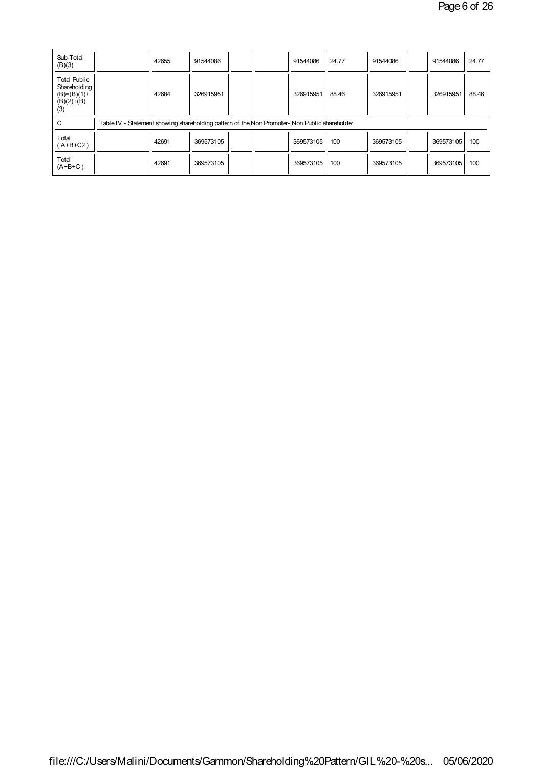| Sub-Total<br>(B)(3)                                                         |                                                                                               | 42655 | 91544086  |  | 91544086  | 24.77 | 91544086  | 91544086  | 24.77 |
|-----------------------------------------------------------------------------|-----------------------------------------------------------------------------------------------|-------|-----------|--|-----------|-------|-----------|-----------|-------|
| <b>Total Public</b><br>Shareholding<br>$(B)=(B)(1)+$<br>$(B)(2)+(B)$<br>(3) |                                                                                               | 42684 | 326915951 |  | 326915951 | 88.46 | 326915951 | 326915951 | 88.46 |
| С                                                                           | Table IV - Statement showing shareholding pattern of the Non Promoter- Non Public shareholder |       |           |  |           |       |           |           |       |
| Total<br>$(A+B+C2)$                                                         |                                                                                               | 42691 | 369573105 |  | 369573105 | 100   | 369573105 | 369573105 | 100   |
| Total<br>$(A+B+C)$                                                          |                                                                                               | 42691 | 369573105 |  | 369573105 | 100   | 369573105 | 369573105 | 100   |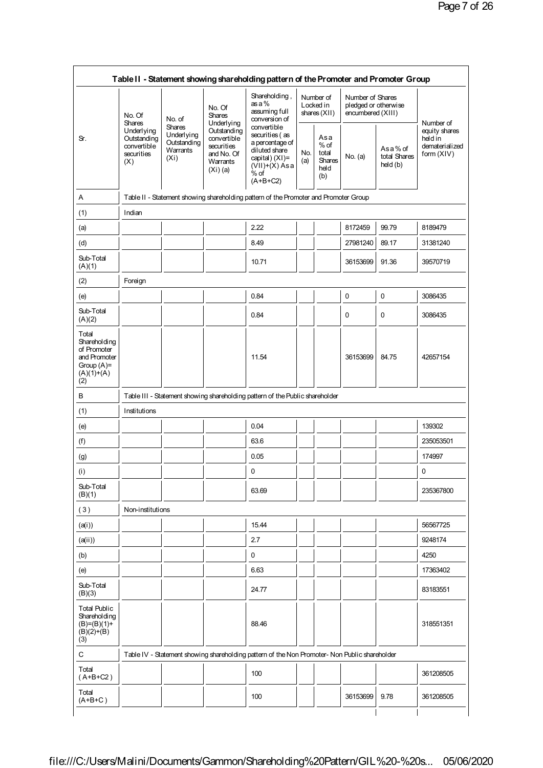|                                                                                              |                                                                                       |                                                                             |                                                                                                | Table II - Statement showing shareholding pattern of the Promoter and Promoter Group                                              |            |                                                                                               |                                                               |                                     |                                                                       |  |  |  |  |  |  |  |
|----------------------------------------------------------------------------------------------|---------------------------------------------------------------------------------------|-----------------------------------------------------------------------------|------------------------------------------------------------------------------------------------|-----------------------------------------------------------------------------------------------------------------------------------|------------|-----------------------------------------------------------------------------------------------|---------------------------------------------------------------|-------------------------------------|-----------------------------------------------------------------------|--|--|--|--|--|--|--|
|                                                                                              | No. Of                                                                                | No. of                                                                      | No. Of<br><b>Shares</b>                                                                        | Shareholding,<br>as a %<br>assuming full<br>conversion of                                                                         |            | Number of<br>Locked in<br>shares $(XII)$                                                      | Number of Shares<br>pledged or otherwise<br>encumbered (XIII) |                                     |                                                                       |  |  |  |  |  |  |  |
| Sr.                                                                                          | <b>Shares</b><br><b>Underlying</b><br>Outstanding<br>convertible<br>securities<br>(X) | <b>Shares</b><br>Underlying<br>Outstanding<br>Warrants<br>(X <sub>i</sub> ) | Underlying<br>Outstanding<br>convertible<br>securities<br>and No. Of<br>Warrants<br>$(Xi)$ (a) | convertible<br>securities (as<br>a percentage of<br>diluted share<br>capital) $(XI)$ =<br>$(VII)+(X)$ Asa<br>$%$ of<br>$(A+B+C2)$ | No.<br>(a) | Asa<br>$%$ of<br>total<br><b>Shares</b><br>held<br>(b)                                        | No. (a)                                                       | Asa% of<br>total Shares<br>held (b) | Number of<br>equity shares<br>held in<br>dematerialized<br>form (XIV) |  |  |  |  |  |  |  |
| Α                                                                                            |                                                                                       |                                                                             |                                                                                                | Table II - Statement showing shareholding pattern of the Promoter and Promoter Group                                              |            |                                                                                               |                                                               |                                     |                                                                       |  |  |  |  |  |  |  |
| (1)                                                                                          | Indian                                                                                |                                                                             |                                                                                                |                                                                                                                                   |            |                                                                                               |                                                               |                                     |                                                                       |  |  |  |  |  |  |  |
| (a)                                                                                          |                                                                                       |                                                                             |                                                                                                | 2.22                                                                                                                              |            |                                                                                               | 8172459                                                       | 99.79                               | 8189479                                                               |  |  |  |  |  |  |  |
| (d)                                                                                          |                                                                                       |                                                                             |                                                                                                | 8.49                                                                                                                              |            |                                                                                               | 27981240                                                      | 89.17                               | 31381240                                                              |  |  |  |  |  |  |  |
| Sub-Total<br>(A)(1)                                                                          |                                                                                       |                                                                             |                                                                                                | 10.71                                                                                                                             |            |                                                                                               | 36153699                                                      | 91.36                               | 39570719                                                              |  |  |  |  |  |  |  |
| (2)                                                                                          | Foreign                                                                               |                                                                             |                                                                                                |                                                                                                                                   |            |                                                                                               |                                                               |                                     |                                                                       |  |  |  |  |  |  |  |
| (e)                                                                                          |                                                                                       |                                                                             |                                                                                                | 0.84                                                                                                                              |            |                                                                                               | 0                                                             | 0                                   | 3086435                                                               |  |  |  |  |  |  |  |
| Sub-Total<br>(A)(2)                                                                          |                                                                                       |                                                                             |                                                                                                | 0.84                                                                                                                              |            |                                                                                               | 0                                                             | 0                                   | 3086435                                                               |  |  |  |  |  |  |  |
| Total<br>Shareholding<br>of Promoter<br>and Promoter<br>Group $(A)$ =<br>$(A)(1)+(A)$<br>(2) |                                                                                       |                                                                             |                                                                                                | 11.54                                                                                                                             |            |                                                                                               | 36153699                                                      | 84.75                               | 42657154                                                              |  |  |  |  |  |  |  |
| в                                                                                            |                                                                                       |                                                                             |                                                                                                | Table III - Statement showing shareholding pattern of the Public shareholder                                                      |            |                                                                                               |                                                               |                                     |                                                                       |  |  |  |  |  |  |  |
| (1)                                                                                          | Institutions                                                                          |                                                                             |                                                                                                |                                                                                                                                   |            |                                                                                               |                                                               |                                     |                                                                       |  |  |  |  |  |  |  |
| (e)                                                                                          |                                                                                       |                                                                             |                                                                                                | 0.04                                                                                                                              |            |                                                                                               |                                                               |                                     | 139302                                                                |  |  |  |  |  |  |  |
| (f)                                                                                          |                                                                                       |                                                                             |                                                                                                | 63.6                                                                                                                              |            |                                                                                               |                                                               |                                     | 235053501                                                             |  |  |  |  |  |  |  |
| (g)                                                                                          |                                                                                       |                                                                             |                                                                                                | 0.05                                                                                                                              |            |                                                                                               |                                                               |                                     | 174997                                                                |  |  |  |  |  |  |  |
| (i)                                                                                          |                                                                                       |                                                                             |                                                                                                | 0                                                                                                                                 |            |                                                                                               |                                                               |                                     | 0                                                                     |  |  |  |  |  |  |  |
| Sub-Total<br>(B)(1)                                                                          |                                                                                       |                                                                             |                                                                                                | 63.69                                                                                                                             |            |                                                                                               |                                                               |                                     | 235367800                                                             |  |  |  |  |  |  |  |
| (3)                                                                                          | Non-institutions                                                                      |                                                                             |                                                                                                |                                                                                                                                   |            |                                                                                               |                                                               |                                     |                                                                       |  |  |  |  |  |  |  |
| (a(i))                                                                                       |                                                                                       |                                                                             |                                                                                                | 15.44                                                                                                                             |            |                                                                                               |                                                               |                                     | 56567725                                                              |  |  |  |  |  |  |  |
| (a(i))                                                                                       |                                                                                       |                                                                             |                                                                                                | 2.7                                                                                                                               |            |                                                                                               |                                                               |                                     | 9248174                                                               |  |  |  |  |  |  |  |
| (b)                                                                                          |                                                                                       |                                                                             |                                                                                                | 0                                                                                                                                 |            |                                                                                               |                                                               |                                     | 4250                                                                  |  |  |  |  |  |  |  |
| (e)                                                                                          |                                                                                       |                                                                             |                                                                                                | 6.63                                                                                                                              |            |                                                                                               |                                                               |                                     | 17363402                                                              |  |  |  |  |  |  |  |
| Sub-Total<br>(B)(3)                                                                          |                                                                                       |                                                                             |                                                                                                | 24.77                                                                                                                             |            |                                                                                               |                                                               |                                     | 83183551                                                              |  |  |  |  |  |  |  |
|                                                                                              |                                                                                       |                                                                             |                                                                                                | 88.46                                                                                                                             |            |                                                                                               |                                                               |                                     | 318551351                                                             |  |  |  |  |  |  |  |
| <b>Total Public</b><br>Shareholding<br>$(B)=(B)(1)+$<br>$(B)(2)+(B)$<br>(3)                  |                                                                                       |                                                                             |                                                                                                |                                                                                                                                   |            | Table IV - Statement showing shareholding pattern of the Non Promoter- Non Public shareholder |                                                               |                                     |                                                                       |  |  |  |  |  |  |  |
| C                                                                                            |                                                                                       |                                                                             |                                                                                                |                                                                                                                                   |            |                                                                                               |                                                               |                                     |                                                                       |  |  |  |  |  |  |  |
| Total<br>$(A+B+C2)$                                                                          |                                                                                       |                                                                             |                                                                                                | 100                                                                                                                               |            |                                                                                               |                                                               |                                     | 361208505                                                             |  |  |  |  |  |  |  |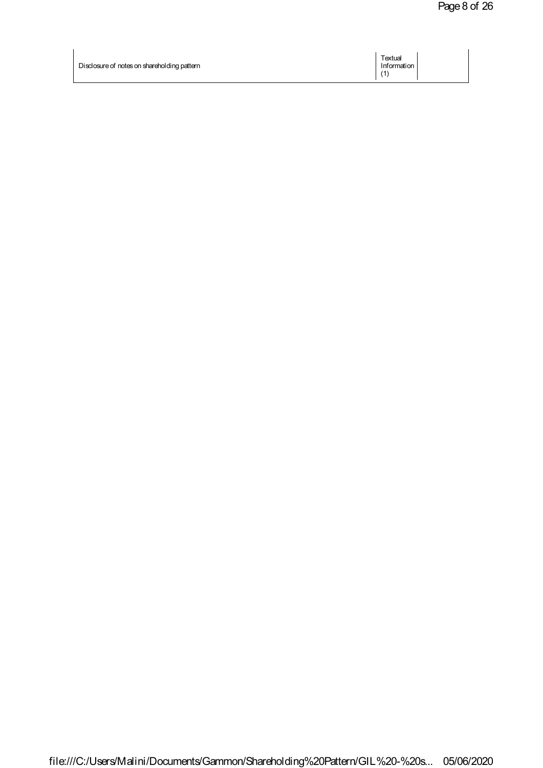| Disclosure of notes on shareholding pattern | Textual<br>Information |  |
|---------------------------------------------|------------------------|--|
|                                             |                        |  |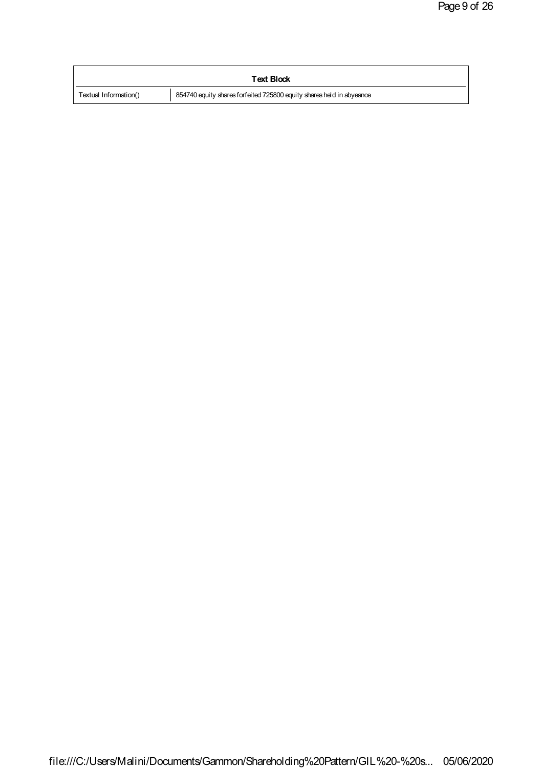|                       | <b>Text Block</b>                                                    |
|-----------------------|----------------------------------------------------------------------|
| Textual Information() | 854740 equity shares forfeited 725800 equity shares held in abyeance |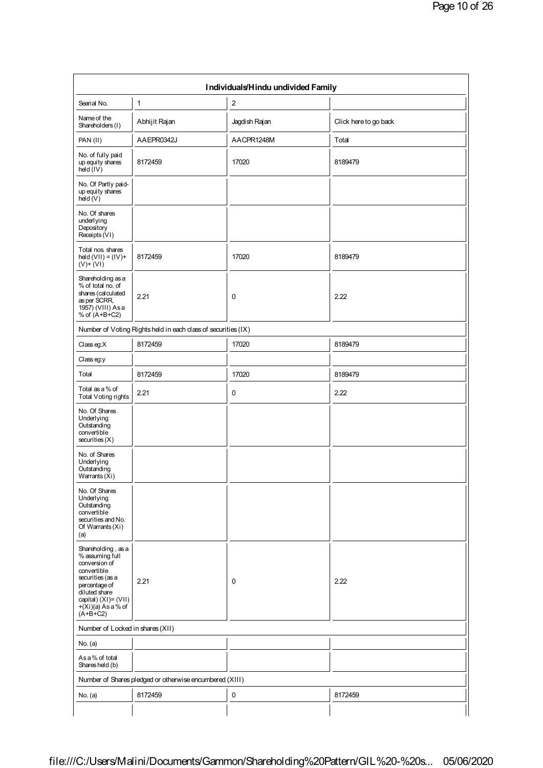| Searial No.                                                                                                                                                                                  | $\mathbf{1}$                                                  | $\boldsymbol{2}$ |                       |  |
|----------------------------------------------------------------------------------------------------------------------------------------------------------------------------------------------|---------------------------------------------------------------|------------------|-----------------------|--|
| Name of the<br>Shareholders (1)                                                                                                                                                              | Abhijit Rajan                                                 | Jagdish Rajan    | Click here to go back |  |
| PAN(II)                                                                                                                                                                                      | AAEPR0342J                                                    | AACPR1248M       | Total                 |  |
| No. of fully paid<br>up equity shares<br>$\overline{hdd}$ ( $\overline{IV}$ )                                                                                                                | 8172459                                                       | 17020            | 8189479               |  |
| No. Of Partly paid-<br>up equity shares<br>$h$ eld $(V)$                                                                                                                                     |                                                               |                  |                       |  |
| No. Of shares<br>underlying<br>Depository<br>Receipts (VI)                                                                                                                                   |                                                               |                  |                       |  |
| Total nos. shares<br>$hd(d(VII) = (IV) +$<br>$(V)$ + $(VI)$                                                                                                                                  | 8172459                                                       | 17020            | 8189479               |  |
| Shareholding as a<br>% of total no. of<br>shares (calculated<br>as per SCRR,<br>1957) (VIII) Asa<br>% of $(A+B+C2)$                                                                          | 2.21                                                          | $\mathbf 0$      | 2.22                  |  |
|                                                                                                                                                                                              | Number of Voting Rights held in each class of securities (IX) |                  |                       |  |
| Classeg:X                                                                                                                                                                                    | 8172459                                                       | 17020            | 8189479               |  |
| Classeg:y                                                                                                                                                                                    |                                                               |                  |                       |  |
| Total                                                                                                                                                                                        | 8172459                                                       | 17020            | 8189479               |  |
| Total as a % of<br>Total Voting rights                                                                                                                                                       | 2.21                                                          | $\mathbf 0$      | 2.22                  |  |
| No. Of Shares<br>Underlying<br>Outstanding<br>convertible<br>securities(X)                                                                                                                   |                                                               |                  |                       |  |
| No. of Shares<br>Underlying<br>Outstanding<br>Warrants (Xi)                                                                                                                                  |                                                               |                  |                       |  |
| No. Of Shares<br>Underlying<br>Outstanding<br>convertible<br>securities and No.<br>Of Warrants (Xi)<br>(a)                                                                                   |                                                               |                  |                       |  |
| Shareholding, as a<br>% assuming full<br>conversion of<br>convertible<br>securities (as a<br>percentage of<br>diluted share<br>capital) $(XI) = (VII)$<br>$+(Xi)(a)$ As a % of<br>$(A+B+C2)$ | 2.21                                                          | $\mathbf 0$      | 2.22                  |  |
| Number of Locked in shares (XII)                                                                                                                                                             |                                                               |                  |                       |  |
| No. (a)                                                                                                                                                                                      |                                                               |                  |                       |  |
| As a % of total<br>Shares held (b)                                                                                                                                                           |                                                               |                  |                       |  |
|                                                                                                                                                                                              | Number of Shares pledged or otherwise encumbered (XIII)       |                  |                       |  |
| No. (a)                                                                                                                                                                                      | 8172459                                                       | $\pmb{0}$        | 8172459               |  |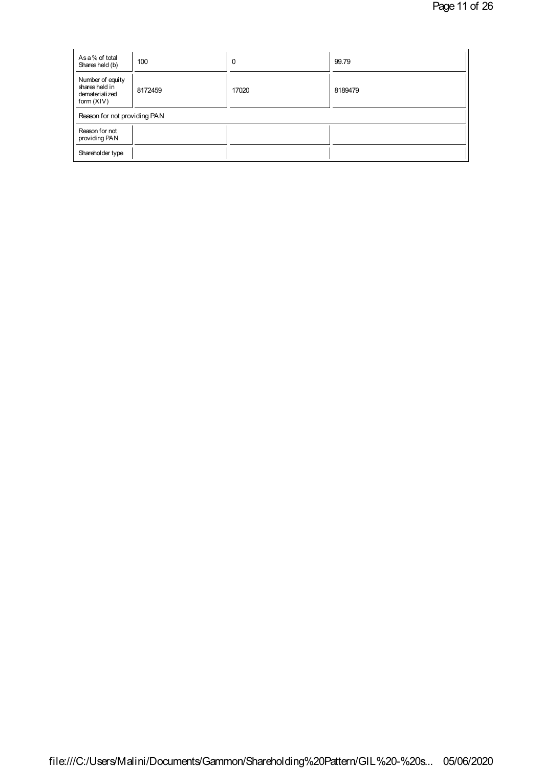| As a % of total<br>Shares held (b)                                   | 100     | 0     | 99.79   |  |
|----------------------------------------------------------------------|---------|-------|---------|--|
| Number of equity<br>shares held in<br>dematerialized<br>form $(XIV)$ | 8172459 | 17020 | 8189479 |  |
| Reason for not providing PAN                                         |         |       |         |  |
| Reason for not<br>providing PAN                                      |         |       |         |  |
| Shareholder type                                                     |         |       |         |  |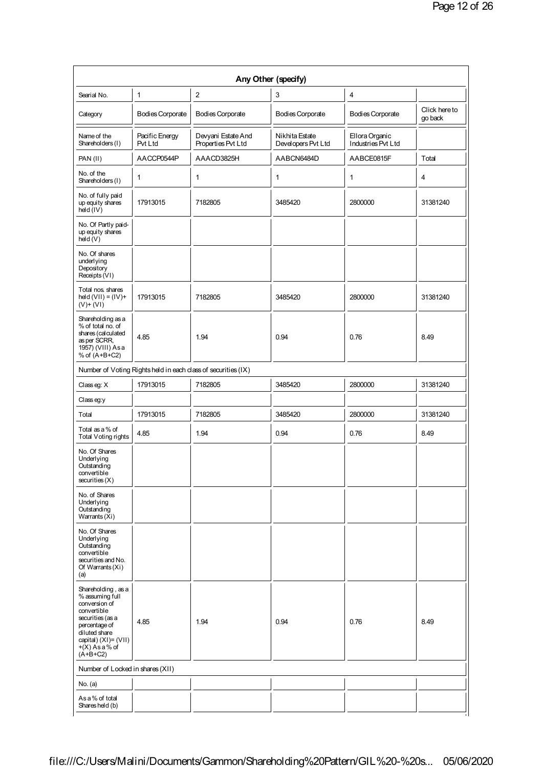|                                                                                                                                                                                       |                           |                                                               | Any Other (specify)                  |                                      |                          |
|---------------------------------------------------------------------------------------------------------------------------------------------------------------------------------------|---------------------------|---------------------------------------------------------------|--------------------------------------|--------------------------------------|--------------------------|
| Searial No.                                                                                                                                                                           | 1                         | $\overline{\mathbf{c}}$                                       | 3                                    | 4                                    |                          |
| Category                                                                                                                                                                              | Bodies Corporate          | Bodies Corporate                                              | <b>Bodies Corporate</b>              | Bodies Corporate                     | Click here to<br>go back |
| Name of the<br>Shareholders (I)                                                                                                                                                       | Pacific Energy<br>Pvt Ltd | Devyani Estate And<br>Properties Pvt Ltd                      | Nikhita Estate<br>Developers Pvt Ltd | Ellora Organic<br>Industries Pvt Ltd |                          |
| PAN (II)                                                                                                                                                                              | AACCP0544P                | AAACD3825H                                                    | AABCN6484D                           | AABCE0815F                           | Total                    |
| No. of the<br>Shareholders (I)                                                                                                                                                        | 1                         | 1                                                             | 1                                    | 1                                    | $\overline{4}$           |
| No. of fully paid<br>up equity shares<br>$hdd$ ( $lV$ )                                                                                                                               | 17913015                  | 7182805                                                       | 3485420                              | 2800000                              | 31381240                 |
| No. Of Partly paid-<br>up equity shares<br>hdd(V)                                                                                                                                     |                           |                                                               |                                      |                                      |                          |
| No. Of shares<br>underlying<br>Depository<br>Receipts (VI)                                                                                                                            |                           |                                                               |                                      |                                      |                          |
| Total nos. shares<br>$hed(VII) = (IV) +$<br>$(V)$ + $(VI)$                                                                                                                            | 17913015                  | 7182805                                                       | 3485420                              | 2800000                              | 31381240                 |
| Shareholding as a<br>% of total no. of<br>shares (calculated<br>as per SCRR,<br>1957) (VIII) Asa<br>% of (A+B+C2)                                                                     | 4.85                      | 1.94                                                          | 0.94                                 | 0.76                                 | 8.49                     |
|                                                                                                                                                                                       |                           | Number of Voting Rights held in each class of securities (IX) |                                      |                                      |                          |
| Classeg: X                                                                                                                                                                            | 17913015                  | 7182805                                                       | 3485420                              | 2800000                              | 31381240                 |
| Classeg:y                                                                                                                                                                             |                           |                                                               |                                      |                                      |                          |
| Total                                                                                                                                                                                 | 17913015                  | 7182805                                                       | 3485420                              | 2800000                              | 31381240                 |
| Total as a % of<br>Total Voting rights                                                                                                                                                | 4.85                      | 1.94                                                          | 0.94                                 | 0.76                                 | 8.49                     |
| No. Of Shares<br>Underlying<br>Outstanding<br>convertible<br>securities(X)                                                                                                            |                           |                                                               |                                      |                                      |                          |
| No. of Shares<br>Underlying<br>Outstanding<br>Warrants $(Xi)$                                                                                                                         |                           |                                                               |                                      |                                      |                          |
| No. Of Shares<br>Underlying<br>Outstanding<br>convertible<br>securities and No.<br>Of Warrants (Xi)<br>(a)                                                                            |                           |                                                               |                                      |                                      |                          |
| Shareholding, as a<br>% assuming full<br>conversion of<br>convertible<br>securities (as a<br>percentage of<br>diluted share<br>capital) (XI)= (VII)<br>$+(X)$ As a % of<br>$(A+B+C2)$ | 4.85                      | 1.94                                                          | 0.94                                 | 0.76                                 | 8.49                     |
| Number of Locked in shares (XII)                                                                                                                                                      |                           |                                                               |                                      |                                      |                          |
| No. (a)                                                                                                                                                                               |                           |                                                               |                                      |                                      |                          |
| As a % of total<br>Shares held (b)                                                                                                                                                    |                           |                                                               |                                      |                                      |                          |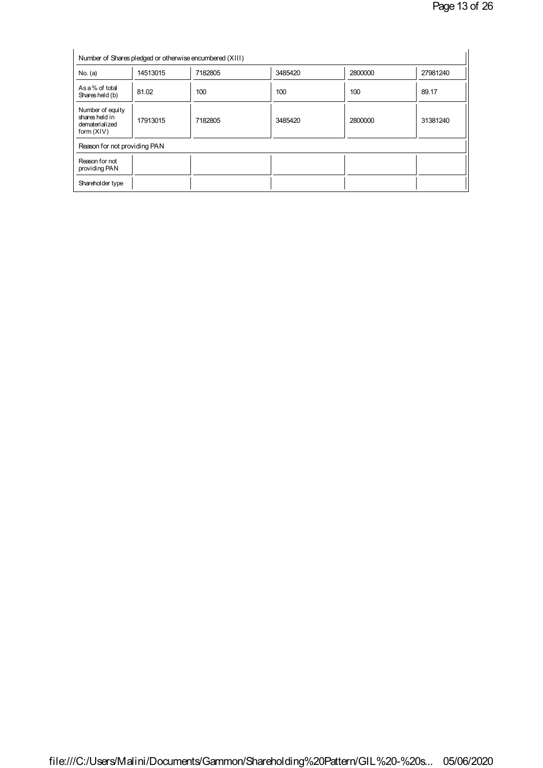| No. (a)                                                            | 14513015 | 7182805 | 3485420 | 2800000 | 27981240 |
|--------------------------------------------------------------------|----------|---------|---------|---------|----------|
| As a % of total<br>Shares held (b)                                 | 81.02    | 100     | 100     | 100     | 89.17    |
| Number of equity<br>shares held in<br>dematerialized<br>form (XIV) | 17913015 | 7182805 | 3485420 | 2800000 | 31381240 |
| Reason for not providing PAN                                       |          |         |         |         |          |
| Reason for not<br>providing PAN                                    |          |         |         |         |          |
| Shareholder type                                                   |          |         |         |         |          |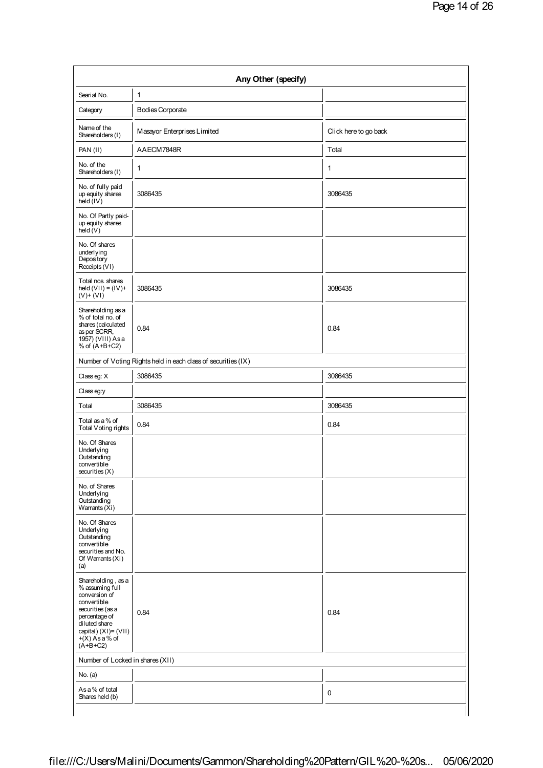| Searial No.                                                                                                                                                                              | $\mathbf{1}$                                                  |                       |  |
|------------------------------------------------------------------------------------------------------------------------------------------------------------------------------------------|---------------------------------------------------------------|-----------------------|--|
| Category                                                                                                                                                                                 | <b>Bodies Corporate</b>                                       |                       |  |
| Name of the<br>Shareholders (I)                                                                                                                                                          | Masayor Enterprises Limited                                   | Click here to go back |  |
| PAN (II)                                                                                                                                                                                 | AAECM7848R                                                    | Total                 |  |
| No. of the<br>Shareholders (I)                                                                                                                                                           | $\mathbf{1}$                                                  | 1                     |  |
| No. of fully paid<br>up equity shares<br>hdd(IV)                                                                                                                                         | 3086435                                                       | 3086435               |  |
| No. Of Partly paid-<br>up equity shares<br>$h$ eld $(V)$                                                                                                                                 |                                                               |                       |  |
| No. Of shares<br>underlying<br>Depository<br>Receipts (VI)                                                                                                                               |                                                               |                       |  |
| Total nos. shares<br>held $(VII) = (IV) +$<br>$(V)$ + $(VI)$                                                                                                                             | 3086435                                                       | 3086435               |  |
| Shareholding as a<br>% of total no. of<br>shares (calculated<br>as per SCRR,<br>1957) (VIII) Asa<br>% of $(A+B+C2)$                                                                      | 0.84                                                          | 0.84                  |  |
|                                                                                                                                                                                          | Number of Voting Rights held in each class of securities (IX) |                       |  |
| Classeg: X                                                                                                                                                                               | 3086435                                                       | 3086435               |  |
| Class eg:y                                                                                                                                                                               |                                                               |                       |  |
| Total                                                                                                                                                                                    | 3086435                                                       | 3086435               |  |
| Total as a % of<br>Total Voting rights                                                                                                                                                   | 0.84                                                          | 0.84                  |  |
| No. Of Shares<br>Underlying<br>Outstanding<br>convertible<br>securities(X)                                                                                                               |                                                               |                       |  |
| No. of Shares<br>Underlying<br>Outstanding<br>Warrants (Xi)                                                                                                                              |                                                               |                       |  |
| No. Of Shares<br>Underlying<br>Outstanding<br>convertible<br>securities and No.<br>Of Warrants (Xi)<br>(a)                                                                               |                                                               |                       |  |
| Shareholding, as a<br>% assuming full<br>conversion of<br>convertible<br>securities (as a<br>percentage of<br>diluted share<br>capital) $(XI) = (VII)$<br>$+(X)$ As a % of<br>$(A+B+C2)$ | 0.84                                                          | 0.84                  |  |
| Number of Locked in shares (XII)                                                                                                                                                         |                                                               |                       |  |
| No. (a)                                                                                                                                                                                  |                                                               |                       |  |
| As a % of total                                                                                                                                                                          |                                                               | $\mathbf 0$           |  |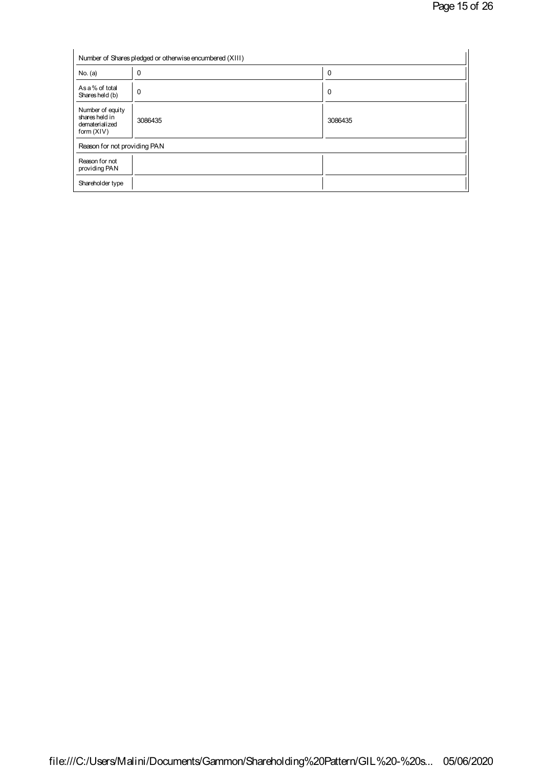|                                                                      | Number of Shares pledged or otherwise encumbered (XIII) |          |
|----------------------------------------------------------------------|---------------------------------------------------------|----------|
| No. (a)                                                              | $\Omega$                                                | $\Omega$ |
| As a % of total<br>Shares held (b)                                   | $\mathbf 0$                                             | 0        |
| Number of equity<br>shares held in<br>dematerialized<br>form $(XIV)$ | 3086435                                                 | 3086435  |
| Reason for not providing PAN                                         |                                                         |          |
| Reason for not<br>providing PAN                                      |                                                         |          |
| Shareholder type                                                     |                                                         |          |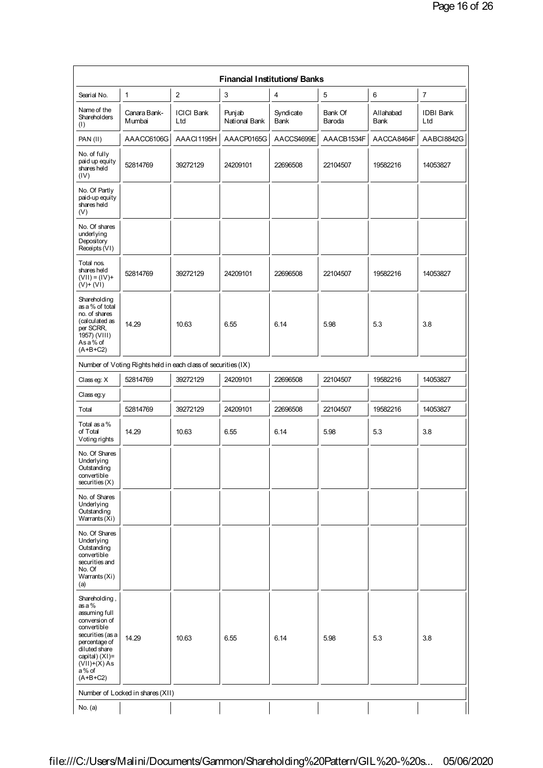| <b>Financial Institutions Banks</b>                                                                                                                                                          |                                  |                          |                         |                   |                   |                   |                         |
|----------------------------------------------------------------------------------------------------------------------------------------------------------------------------------------------|----------------------------------|--------------------------|-------------------------|-------------------|-------------------|-------------------|-------------------------|
| Searial No.                                                                                                                                                                                  | 1                                | $\overline{c}$           | 3                       | 4                 | 5                 | 6                 | $\overline{7}$          |
| Name of the<br>Shareholders<br>(1)                                                                                                                                                           | Canara Bank-<br>Mumbai           | <b>ICICI Bank</b><br>Ltd | Punjab<br>National Bank | Syndicate<br>Bank | Bank Of<br>Baroda | Allahabad<br>Bank | <b>IDBI Bank</b><br>Ltd |
| PAN(II)                                                                                                                                                                                      | AAACC6106G                       | AAACI1195H               | AAACP0165G              | AACCS4699E        | AAACB1534F        | AACCA8464F        | AABCI8842G              |
| No. of fully<br>paid up equity<br>shares held<br>(IV)                                                                                                                                        | 52814769                         | 39272129                 | 24209101                | 22696508          | 22104507          | 19582216          | 14053827                |
| No. Of Partly<br>paid-up equity<br>shares held<br>(V)                                                                                                                                        |                                  |                          |                         |                   |                   |                   |                         |
| No. Of shares<br>underlying<br>Depository<br>Receipts (VI)                                                                                                                                   |                                  |                          |                         |                   |                   |                   |                         |
| Total nos.<br>shares held<br>$(VII) = (IV) +$<br>$(V)$ + $(VI)$                                                                                                                              | 52814769                         | 39272129                 | 24209101                | 22696508          | 22104507          | 19582216          | 14053827                |
| Shareholding<br>as a % of total<br>no. of shares<br>(calculated as<br>per SCRR,<br>1957) (VIII)<br>Asa% of<br>$(A+B+C2)$                                                                     | 14.29                            | 10.63                    | 6.55                    | 6.14              | 5.98              | 5.3               | 3.8                     |
| Number of Voting Rights held in each class of securities (IX)                                                                                                                                |                                  |                          |                         |                   |                   |                   |                         |
| Classeg: X                                                                                                                                                                                   | 52814769                         | 39272129                 | 24209101                | 22696508          | 22104507          | 19582216          | 14053827                |
| Classeg:y                                                                                                                                                                                    |                                  |                          |                         |                   |                   |                   |                         |
| Total                                                                                                                                                                                        | 52814769                         | 39272129                 | 24209101                | 22696508          | 22104507          | 19582216          | 14053827                |
| Total as a %<br>of Total<br>Voting rights                                                                                                                                                    | 14.29                            | 10.63                    | 6.55                    | 6.14              | 5.98              | 5.3               | 3.8                     |
| No. Of Shares<br>Underlying<br>Outstanding<br>convertible<br>securities(X)                                                                                                                   |                                  |                          |                         |                   |                   |                   |                         |
| No. of Shares<br>Underlying<br>Outstanding<br>Warrants (Xi)                                                                                                                                  |                                  |                          |                         |                   |                   |                   |                         |
| No. Of Shares<br>Underlying<br>Outstanding<br>convertible<br>securities and<br>No. Of<br>Warrants (Xi)<br>(a)                                                                                |                                  |                          |                         |                   |                   |                   |                         |
| Shareholding,<br>$as a \%$<br>assuming full<br>conversion of<br>convertible<br>securities (as a<br>percentage of<br>diluted share<br>capital) (XI)=<br>$(VII)+(X) As$<br>a% of<br>$(A+B+C2)$ | 14.29                            | 10.63                    | 6.55                    | 6.14              | 5.98              | 5.3               | 3.8                     |
|                                                                                                                                                                                              | Number of Locked in shares (XII) |                          |                         |                   |                   |                   |                         |
| No. (a)                                                                                                                                                                                      |                                  |                          |                         |                   |                   |                   |                         |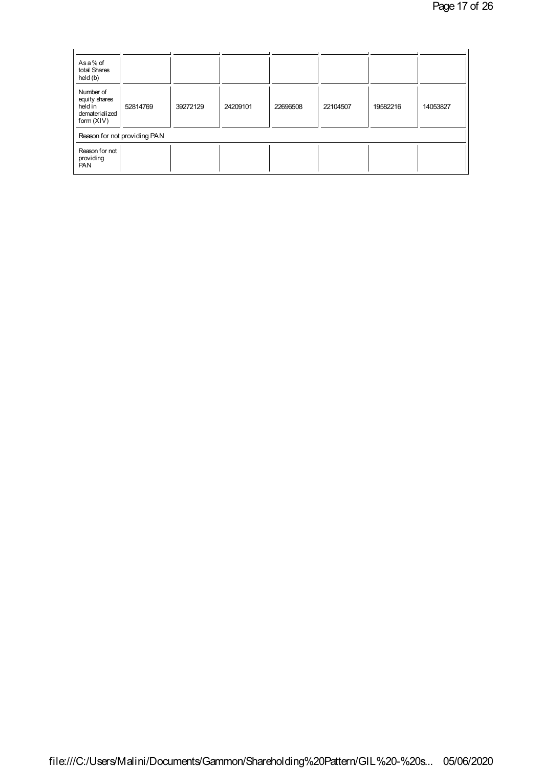| Asa% of<br>total Shares<br>held (b)                                    |                              |          |          |          |          |          |          |
|------------------------------------------------------------------------|------------------------------|----------|----------|----------|----------|----------|----------|
| Number of<br>equity shares<br>heldin<br>dematerialized<br>form $(XIV)$ | 52814769                     | 39272129 | 24209101 | 22696508 | 22104507 | 19582216 | 14053827 |
|                                                                        | Reason for not providing PAN |          |          |          |          |          |          |
| Reason for not<br>providing<br><b>PAN</b>                              |                              |          |          |          |          |          |          |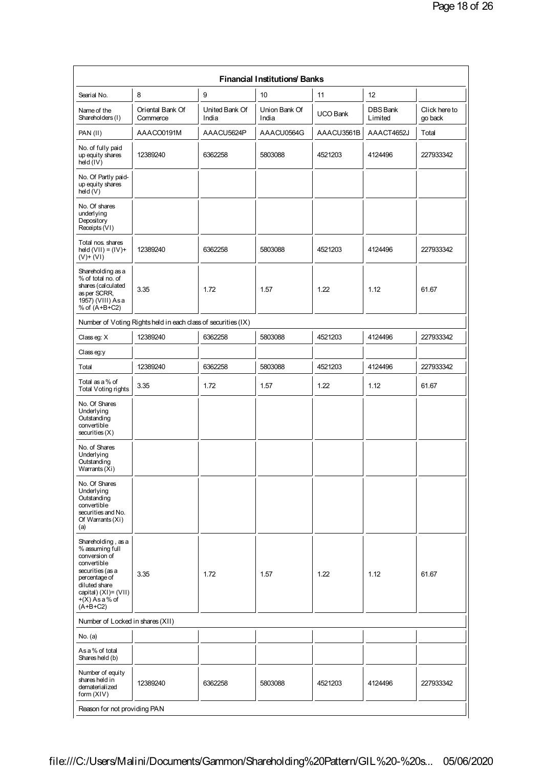| <b>Financial Institutions Banks</b>                                                                                                                                                   |                                                               |                         |                        |                 |                            |                          |
|---------------------------------------------------------------------------------------------------------------------------------------------------------------------------------------|---------------------------------------------------------------|-------------------------|------------------------|-----------------|----------------------------|--------------------------|
| Searial No.                                                                                                                                                                           | 8                                                             | 9                       | 10                     | 11              | 12                         |                          |
| Name of the<br>Shareholders (I)                                                                                                                                                       | Oriental Bank Of<br>Commerce                                  | United Bank Of<br>India | Union Bank Of<br>India | <b>UCO Bank</b> | <b>DBS Bank</b><br>Limited | Click here to<br>go back |
| PAN(II)                                                                                                                                                                               | AAACO0191M                                                    | AAACU5624P              | AAACU0564G             | AAACU3561B      | AAACT4652J                 | Total                    |
| No. of fully paid<br>up equity shares<br>held $(IV)$                                                                                                                                  | 12389240                                                      | 6362258                 | 5803088                | 4521203         | 4124496                    | 227933342                |
| No. Of Partly paid-<br>up equity shares<br>$h$ eld $(V)$                                                                                                                              |                                                               |                         |                        |                 |                            |                          |
| No. Of shares<br>underlying<br>Depository<br>Receipts (VI)                                                                                                                            |                                                               |                         |                        |                 |                            |                          |
| Total nos. shares<br>$hdd(VII) = (IV) +$<br>$(V)$ + $(VI)$                                                                                                                            | 12389240                                                      | 6362258                 | 5803088                | 4521203         | 4124496                    | 227933342                |
| Shareholding as a<br>% of total no. of<br>shares (calculated<br>as per SCRR,<br>1957) (VIII) Asa<br>% of $(A+B+C2)$                                                                   | 3.35                                                          | 1.72                    | 1.57                   | 1.22            | 1.12                       | 61.67                    |
|                                                                                                                                                                                       | Number of Voting Rights held in each class of securities (IX) |                         |                        |                 |                            |                          |
| Classeg: X                                                                                                                                                                            | 12389240                                                      | 6362258                 | 5803088                | 4521203         | 4124496                    | 227933342                |
| Classeg:y                                                                                                                                                                             |                                                               |                         |                        |                 |                            |                          |
| Total                                                                                                                                                                                 | 12389240                                                      | 6362258                 | 5803088                | 4521203         | 4124496                    | 227933342                |
| Total as a % of<br>Total Voting rights                                                                                                                                                | 3.35                                                          | 1.72                    | 1.57                   | 1.22            | 1.12                       | 61.67                    |
| No. Of Shares<br>Underlying<br>Outstanding<br>convertible<br>securities (X)                                                                                                           |                                                               |                         |                        |                 |                            |                          |
| No. of Shares<br>Underlying<br>Outstanding<br>Warrants (Xi)                                                                                                                           |                                                               |                         |                        |                 |                            |                          |
| No. Of Shares<br>Underlying<br>Outstanding<br>convertible<br>securities and No.<br>Of Warrants (Xi)<br>(a)                                                                            |                                                               |                         |                        |                 |                            |                          |
| Shareholding, as a<br>% assuming full<br>conversion of<br>convertible<br>securities (as a<br>percentage of<br>diluted share<br>capital) (XI)= (VII)<br>$+(X)$ As a % of<br>$(A+B+C2)$ | 3.35                                                          | 1.72                    | 1.57                   | 1.22            | 1.12                       | 61.67                    |
| Number of Locked in shares (XII)                                                                                                                                                      |                                                               |                         |                        |                 |                            |                          |
| No. (a)                                                                                                                                                                               |                                                               |                         |                        |                 |                            |                          |
| As a % of total<br>Shares held (b)                                                                                                                                                    |                                                               |                         |                        |                 |                            |                          |
| Number of equity<br>shares held in<br>dematerialized<br>form (XIV)                                                                                                                    | 12389240                                                      | 6362258                 | 5803088                | 4521203         | 4124496                    | 227933342                |
| Reason for not providing PAN                                                                                                                                                          |                                                               |                         |                        |                 |                            |                          |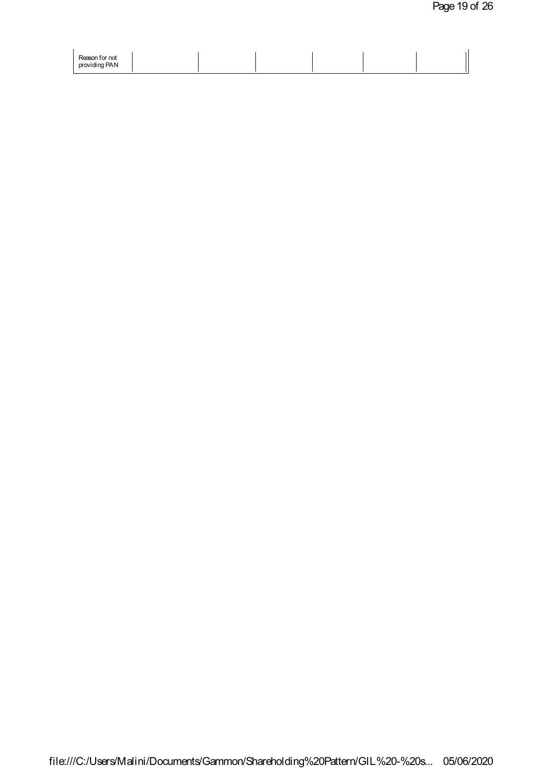| Reason for not |  |  |  |
|----------------|--|--|--|
| providing PAN  |  |  |  |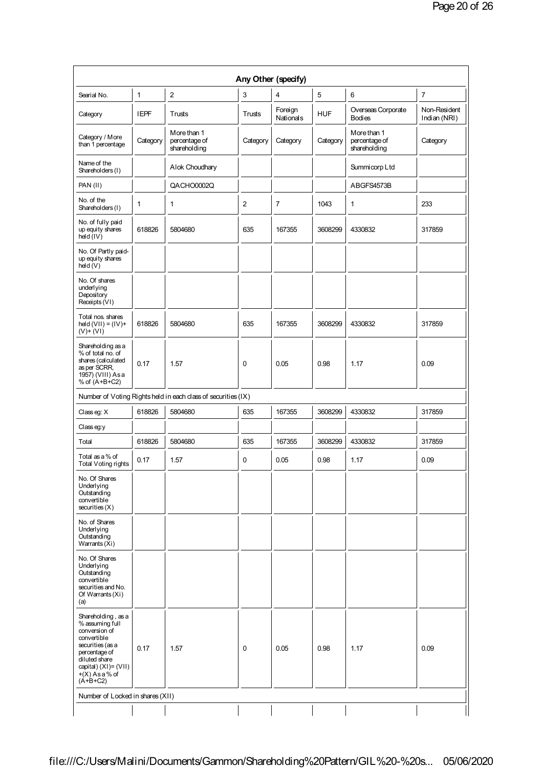|                                                                                                                                                                                          |              |                                                               |                | Any Other (specify)  |            |                                              |                              |
|------------------------------------------------------------------------------------------------------------------------------------------------------------------------------------------|--------------|---------------------------------------------------------------|----------------|----------------------|------------|----------------------------------------------|------------------------------|
| Searial No.                                                                                                                                                                              | $\mathbf{1}$ | $\boldsymbol{2}$                                              | 3              | 4                    | 5          | 6                                            | $\overline{7}$               |
| Category                                                                                                                                                                                 | <b>IEPF</b>  | Trusts                                                        | Trusts         | Foreign<br>Nationals | <b>HUF</b> | Overseas Corporate<br><b>Bodies</b>          | Non-Resident<br>Indian (NRI) |
| Category / More<br>than 1 percentage                                                                                                                                                     | Category     | More than 1<br>percentage of<br>shareholding                  | Category       | Category             | Category   | More than 1<br>percentage of<br>shareholding | Category                     |
| Name of the<br>Shareholders (I)                                                                                                                                                          |              | Alok Choudhary                                                |                |                      |            | Summicorp Ltd                                |                              |
| PAN (II)                                                                                                                                                                                 |              | QACHO0002Q                                                    |                |                      |            | ABGFS4573B                                   |                              |
| No. of the<br>Shareholders (I)                                                                                                                                                           | 1            | 1                                                             | $\overline{2}$ | $\overline{7}$       | 1043       | 1                                            | 233                          |
| No. of fully paid<br>up equity shares<br>$h$ eld $(IV)$                                                                                                                                  | 618826       | 5804680                                                       | 635            | 167355               | 3608299    | 4330832                                      | 317859                       |
| No. Of Partly paid-<br>up equity shares<br>hed(V)                                                                                                                                        |              |                                                               |                |                      |            |                                              |                              |
| No. Of shares<br>underlying<br>Depository<br>Receipts (VI)                                                                                                                               |              |                                                               |                |                      |            |                                              |                              |
| Total nos. shares<br>$hed(VII) = (IV) +$<br>$(V)$ + $(VI)$                                                                                                                               | 618826       | 5804680                                                       | 635            | 167355               | 3608299    | 4330832                                      | 317859                       |
| Shareholding as a<br>% of total no. of<br>shares (calculated<br>as per SCRR,<br>1957) (VIII) Asa<br>% of (A+B+C2)                                                                        | 0.17         | 1.57                                                          | 0              | 0.05                 | 0.98       | 1.17                                         | 0.09                         |
|                                                                                                                                                                                          |              | Number of Voting Rights held in each class of securities (IX) |                |                      |            |                                              |                              |
| Classeg: X                                                                                                                                                                               | 618826       | 5804680                                                       | 635            | 167355               | 3608299    | 4330832                                      | 317859                       |
| Classeg:y                                                                                                                                                                                |              |                                                               |                |                      |            |                                              |                              |
| Total                                                                                                                                                                                    | 618826       | 5804680                                                       | 635            | 167355               | 3608299    | 4330832                                      | 317859                       |
| Total as a % of<br>Total Voting rights                                                                                                                                                   | 0.17         | 1.57                                                          | 0              | 0.05                 | 0.98       | 1.17                                         | 0.09                         |
| No. Of Shares<br>Underlying<br>Outstanding<br>convertible<br>securities(X)                                                                                                               |              |                                                               |                |                      |            |                                              |                              |
| No. of Shares<br>Underlying<br>Outstanding<br>Warrants (Xi)                                                                                                                              |              |                                                               |                |                      |            |                                              |                              |
| No. Of Shares<br>Underlying<br>Outstanding<br>convertible<br>securities and No.<br>Of Warrants (Xi)<br>(a)                                                                               |              |                                                               |                |                      |            |                                              |                              |
| Shareholding, as a<br>% assuming full<br>conversion of<br>convertible<br>securities (as a<br>percentage of<br>diluted share<br>capital) $(XI) = (VII)$<br>$+(X)$ As a % of<br>$(A+B+C2)$ | 0.17         | 1.57                                                          | 0              | 0.05                 | 0.98       | 1.17                                         | 0.09                         |
| Number of Locked in shares (XII)                                                                                                                                                         |              |                                                               |                |                      |            |                                              |                              |
|                                                                                                                                                                                          |              |                                                               |                |                      |            |                                              |                              |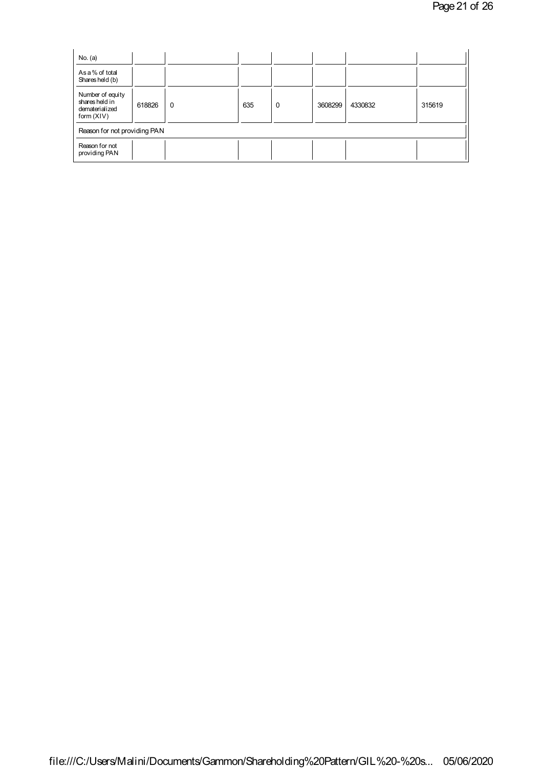| No. (a)                                                              |        |   |     |   |         |         |        |
|----------------------------------------------------------------------|--------|---|-----|---|---------|---------|--------|
| As a % of total<br>Shares held (b)                                   |        |   |     |   |         |         |        |
| Number of equity<br>shares held in<br>dematerialized<br>form $(XIV)$ | 618826 | 0 | 635 | 0 | 3608299 | 4330832 | 315619 |
| Reason for not providing PAN                                         |        |   |     |   |         |         |        |
| Reason for not<br>providing PAN                                      |        |   |     |   |         |         |        |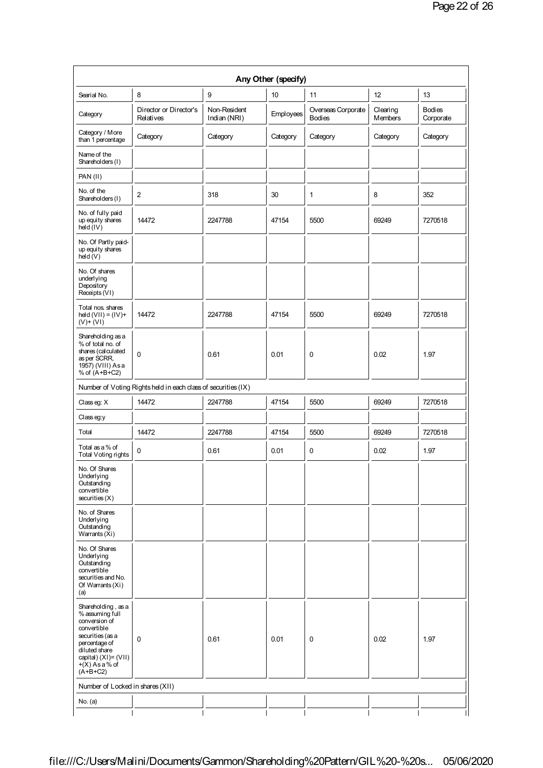| Any Other (specify)                                                                                                                                                                      |                                                               |                              |           |                                     |                            |                            |  |
|------------------------------------------------------------------------------------------------------------------------------------------------------------------------------------------|---------------------------------------------------------------|------------------------------|-----------|-------------------------------------|----------------------------|----------------------------|--|
| Searial No.                                                                                                                                                                              | 8                                                             | 9                            | 10        | 11                                  | 12                         | 13                         |  |
| Category                                                                                                                                                                                 | Director or Director's<br>Relatives                           | Non-Resident<br>Indian (NRI) | Employees | Overseas Corporate<br><b>Bodies</b> | Clearing<br><b>Members</b> | <b>Bodies</b><br>Corporate |  |
| Category / More<br>than 1 percentage                                                                                                                                                     | Category                                                      | Category                     | Category  | Category                            | Category                   | Category                   |  |
| Name of the<br>Shareholders (I)                                                                                                                                                          |                                                               |                              |           |                                     |                            |                            |  |
| PAN (II)                                                                                                                                                                                 |                                                               |                              |           |                                     |                            |                            |  |
| No. of the<br>Shareholders (I)                                                                                                                                                           | 2                                                             | 318                          | 30        | $\mathbf{1}$                        | 8                          | 352                        |  |
| No. of fully paid<br>up equity shares<br>$hdd$ ( $lV$ )                                                                                                                                  | 14472                                                         | 2247788                      | 47154     | 5500                                | 69249                      | 7270518                    |  |
| No. Of Partly paid-<br>up equity shares<br>$h$ eld $(V)$                                                                                                                                 |                                                               |                              |           |                                     |                            |                            |  |
| No. Of shares<br>underlying<br>Depository<br>Receipts (VI)                                                                                                                               |                                                               |                              |           |                                     |                            |                            |  |
| Total nos. shares<br>$hd(UII) = (IV) +$<br>$(V)$ + $(VI)$                                                                                                                                | 14472                                                         | 2247788                      | 47154     | 5500                                | 69249                      | 7270518                    |  |
| Shareholding as a<br>% of total no. of<br>shares (calculated<br>as per SCRR,<br>1957) (VIII) Asa<br>% of $(A+B+C2)$                                                                      | 0                                                             | 0.61                         | 0.01      | 0                                   | 0.02                       | 1.97                       |  |
|                                                                                                                                                                                          | Number of Voting Rights held in each class of securities (IX) |                              |           |                                     |                            |                            |  |
| Classeg: X                                                                                                                                                                               | 14472                                                         | 2247788                      | 47154     | 5500                                | 69249                      | 7270518                    |  |
| Classeg:y                                                                                                                                                                                |                                                               |                              |           |                                     |                            |                            |  |
| Total                                                                                                                                                                                    | 14472                                                         | 2247788                      | 47154     | 5500                                | 69249                      | 7270518                    |  |
| Total as a % of<br>Total Voting rights                                                                                                                                                   | 0                                                             | 0.61                         | 0.01      | 0                                   | 0.02                       | 1.97                       |  |
| No. Of Shares<br>Underlying<br>Outstanding<br>convertible<br>securities(X)                                                                                                               |                                                               |                              |           |                                     |                            |                            |  |
| No. of Shares<br>Underlying<br>Outstanding<br>Warrants (Xi)                                                                                                                              |                                                               |                              |           |                                     |                            |                            |  |
| No. Of Shares<br>Underlying<br>Outstanding<br>convertible<br>securities and No.<br>Of Warrants (Xi)<br>(a)                                                                               |                                                               |                              |           |                                     |                            |                            |  |
| Shareholding, as a<br>% assuming full<br>conversion of<br>convertible<br>securities (as a<br>percentage of<br>diluted share<br>capital) $(XI) = (VII)$<br>$+(X)$ As a % of<br>$(A+B+C2)$ | 0                                                             | 0.61                         | 0.01      | 0                                   | 0.02                       | 1.97                       |  |
| Number of Locked in shares (XII)                                                                                                                                                         |                                                               |                              |           |                                     |                            |                            |  |
| No. (a)                                                                                                                                                                                  |                                                               |                              |           |                                     |                            |                            |  |
|                                                                                                                                                                                          |                                                               |                              |           |                                     |                            |                            |  |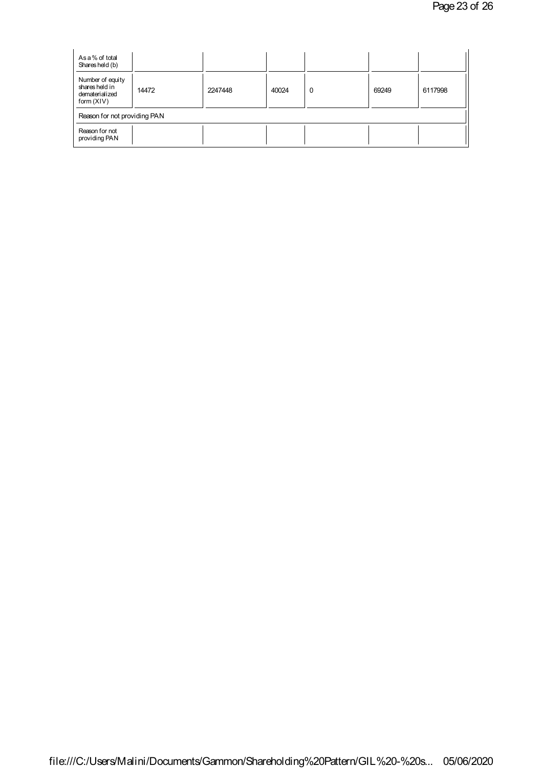| As a % of total<br>Shares held (b)                                   |       |         |       |   |       |         |
|----------------------------------------------------------------------|-------|---------|-------|---|-------|---------|
| Number of equity<br>shares held in<br>dematerialized<br>form $(XIV)$ | 14472 | 2247448 | 40024 | 0 | 69249 | 6117998 |
| Reason for not providing PAN                                         |       |         |       |   |       |         |
| Reason for not<br>providing PAN                                      |       |         |       |   |       |         |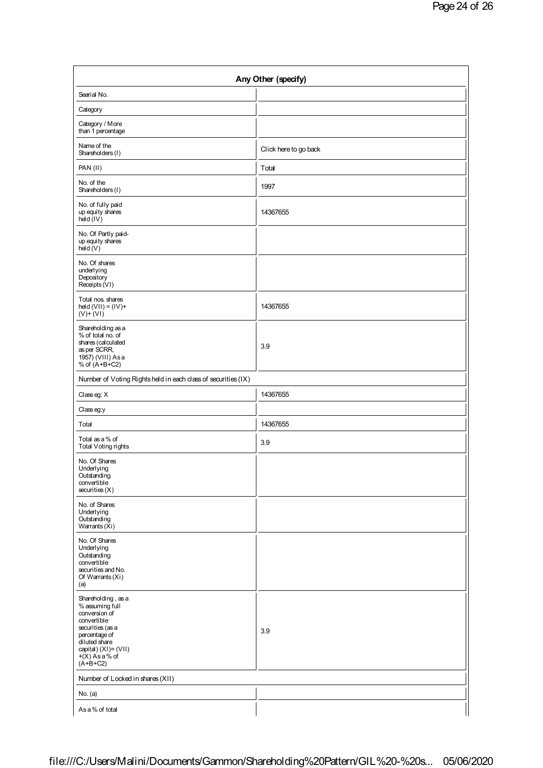| Any Other (specify)                                                                                                                                                                   |                       |  |  |  |  |
|---------------------------------------------------------------------------------------------------------------------------------------------------------------------------------------|-----------------------|--|--|--|--|
| Searial No.                                                                                                                                                                           |                       |  |  |  |  |
| Category                                                                                                                                                                              |                       |  |  |  |  |
| Category / More<br>than 1 percentage                                                                                                                                                  |                       |  |  |  |  |
| Name of the<br>Shareholders (I)                                                                                                                                                       | Click here to go back |  |  |  |  |
| PAN(II)                                                                                                                                                                               | Total                 |  |  |  |  |
| No. of the<br>Shareholders (I)                                                                                                                                                        | 1997                  |  |  |  |  |
| No. of fully paid<br>up equity shares<br>hdd(IV)                                                                                                                                      | 14367655              |  |  |  |  |
| No. Of Partly paid-<br>up equity shares<br>$h$ eld $(V)$                                                                                                                              |                       |  |  |  |  |
| No. Of shares<br>underlying<br>Depository<br>Receipts (VI)                                                                                                                            |                       |  |  |  |  |
| Total nos. shares<br>$held(VII) = (IV) +$<br>$(V)$ + $(VI)$                                                                                                                           | 14367655              |  |  |  |  |
| Shareholding as a<br>% of total no. of<br>shares (calculated<br>as per SCRR,<br>1957) (VIII) Asa<br>% of $(A+B+C2)$                                                                   | 3.9                   |  |  |  |  |
| Number of Voting Rights held in each class of securities (IX)                                                                                                                         |                       |  |  |  |  |
| Classeg: X                                                                                                                                                                            | 14367655              |  |  |  |  |
| Classeg:y                                                                                                                                                                             |                       |  |  |  |  |
| Total                                                                                                                                                                                 | 14367655              |  |  |  |  |
| Total as a % of<br>Total Voting rights                                                                                                                                                | 3.9                   |  |  |  |  |
| No. Of Shares<br>Underlying<br>Outstanding<br>convertible<br>securities(X)                                                                                                            |                       |  |  |  |  |
| No. of Shares<br>Underlying<br>Outstanding<br>Warrants (Xi)                                                                                                                           |                       |  |  |  |  |
| No. Of Shares<br>Underlying<br>Outstanding<br>convertible<br>securities and No.<br>Of Warrants (Xi)<br>(a)                                                                            |                       |  |  |  |  |
| Shareholding, as a<br>% assuming full<br>conversion of<br>convertible<br>securities (as a<br>percentage of<br>diluted share<br>capital) (XI)= (VII)<br>$+(X)$ As a % of<br>$(A+B+C2)$ | 3.9                   |  |  |  |  |
| Number of Locked in shares (XII)                                                                                                                                                      |                       |  |  |  |  |
| No. $(a)$                                                                                                                                                                             |                       |  |  |  |  |
| As a % of total                                                                                                                                                                       |                       |  |  |  |  |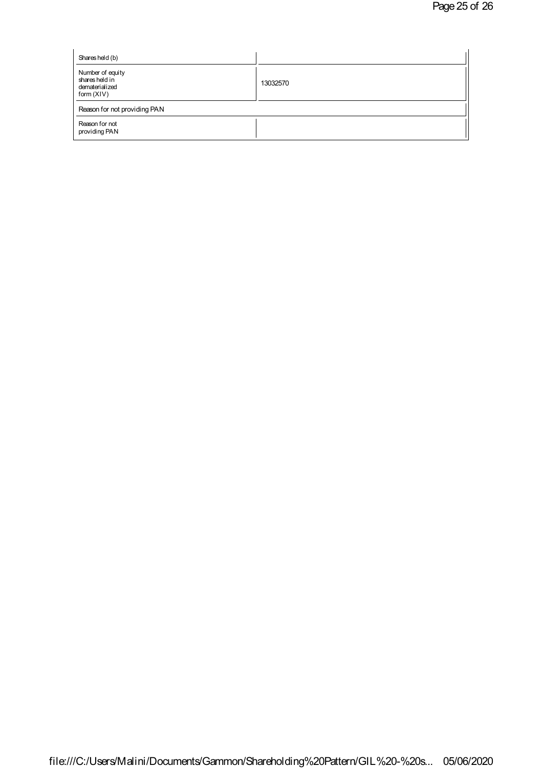| Shares held (b)                                                      |          |
|----------------------------------------------------------------------|----------|
| Number of equity<br>shares held in<br>dematerialized<br>form $(XIV)$ | 13032570 |
| Reason for not providing PAN                                         |          |
| Reason for not<br>providing PAN                                      |          |